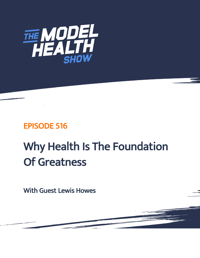

# EPISODE 516

# Why Health Is The Foundation Of Greatness

With Guest Lewis Howes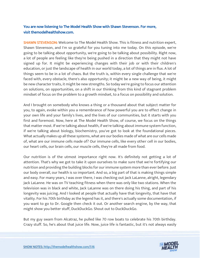# You are now listening to The Model Health Show with Shawn Stevenson. For more, visit themodelhealthshow.com.

**SHAWN STEVENSON:** Welcome to The Model Health Show. This is fitness and nutrition expert, Shawn Stevenson, and I'm so grateful for you tuning into me today. On this episode, we're going to be talking about opportunity, we're going to be talking about possibility. Right now, a lot of people are feeling like they're being pushed in a direction that they might not have signed up for. It might be experiencing changes with their job or with their children's education, or just the landscape of health in our world today, a lot of things are in flux. A lot of things seem to be in a lot of chaos. But the truth is, within every single challenge that we're faced with, every obstacle, there's also opportunity; it might be a new way of being, it might be new character traits, it might be new strengths. So today we're going to focus our attention on solutions, on opportunities, on a shift in our thinking from this kind of stagnant problem mindset of focus on the problem to a growth mindset, to a focus on possibility and solution.

And I brought on somebody who knows a thing or a thousand about that subject matter for you, to again, evoke within you a remembrance of how powerful you are to effect change in your own life and your family's lives, and the lives of our communities, but it starts with you first and foremost. Now, here at The Model Health Show, of course, we focus on the things that matter most. If we're talking about health, if we're talking about immune system function, if we're talking about biology, biochemistry, you've got to look at the foundational pieces. What actually makes up all these systems, what are our bodies made of what are our cells made of, what are our immune cells made of? Our immune cells, like every other cell in our bodies, our heart cells, our brain cells, our muscle cells, they're all made from food.

Our nutrition is of the utmost importance right now. It's definitely not getting a lot of attention. That's why we got to take it upon ourselves to make sure that we're fortifying our nutrition and providing the building blocks for our immune system more than ever before. Just our body overall, our health is so important. And so, a big part of that is making things simple and easy. For many years, I was over there, I was checking out Jack LaLanne, alright, legendary Jack LaLanne. He was on TV teaching fitness when there was only like two stations. When the television was in black and white, Jack LaLanne was on there doing his thing, and part of his longevity was juicing. And I looked at people that actually have that longevity, that have that vitality. For his 70th birthday as the legend has it, and there's actually some documentation, if you want to go to Dr. Google then check it out. Or another search engine, by the way, that might show you better stuff, DuckDuckGo. Shout out to DuckDuckGo.

But my guy swam from Alcatraz, he pulled like 70 row boats to celebrate his 70th birthday. Crazy stuff. So, he's about that juice life. Now, juice life is fantastic, but it's not always easily

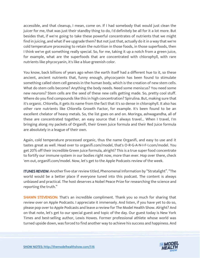accessible, and that cleanup, I mean, come on. If I had somebody that would just clean the juicer for me, that was just their standby thing to do, I'd definitely be all for it a lot more. But besides that, if we're going to take these powerful concentrates of nutrients that we might find in juicing, and what if we upgrade them? But not just that, actually do it in a way that we're cold temperature processing to retain the nutrition in those foods, in those superfoods, then I think we've got something really special. So, for me, taking it up a notch from a green juice, for example, what are the superfoods that are concentrated with chlorophyll, with rare nutrients like phycocyanin, it's like a blue-greenish color.

You know, back billions of years ago when the earth itself had a different hue to it, so these ancient, ancient nutrients that, funny enough, phycocyanin has been found to stimulate something called stem cell genesis in the human body, which is the creation of new stem cells. What do stem cells become? Anything the body needs. Need some meniscus? You need some new neurons? Stem cells are the seed of these new cells getting made. So, pretty cool stuff. Where do you find compounds like this in high concentration? Spirulina. But, making sure that it's organic. Chlorella, it gets its name from the fact that it's so dense in chlorophyll. It also has other rare nutrients like Chlorella Growth Factor, for example. It's been found to be an excellent chelator of heavy metals. So, the list goes on and on. Moringa, ashwagandha, all of these are concentrated together, an easy source that I always travel... When I travel, I'm bringing along my packets of Organifi, their Green Juice formula and their Red Juice formula are absolutely in a league of their own.

Again, cold temperature processed organic, thus the name Organifi, and easy to use and it tastes great as well. Head over to organifi.com/model, that's O-R-G-A-N-I-F-I.com/model. You get 20% off their incredible Green Juice formula, alright? This is a true super food concentrate to fortify our immune system in our bodies right now, more than ever. Hop over there, check 'em out, organifi.com/model. Now, let's get to the Apple Podcasts review of the week.

ITUNES REVIEW: Another five-star review titled, Phenomenal Information by "Stratalight". "The world would be a better place if everyone tuned into this podcast. The content is always unbiased and practical. The host deserves a Nobel Peace Prize for researching the science and reporting the truth."

**SHAWN STEVENSON:** That's an incredible compliment. Thank you so much for sharing that review over on Apple Podcasts. I appreciate it immensely. And listen, if you have yet to do so, please pop over to Apple Podcasts and leave a review for The Model Health Show. Alright? And on that note, let's get to our special guest and topic of the day. Our guest today is New York Times and best-selling author, Lewis Howes. Former professional athlete whose world was turned upside down, was forced to find another way to achieve his success and happiness. And

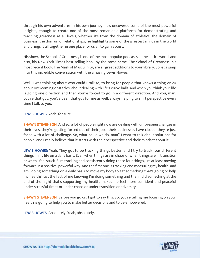through his own adventures in his own journey, he's uncovered some of the most powerful insights, enough to create one of the most remarkable platforms for demonstrating and teaching greatness at all levels, whether it's from the domain of athletics, the domain of business, the domain of relationships, he highlights some of the greatest minds in the world and brings it all together in one place for us all to gain access.

His show, the School of Greatness, is one of the most popular podcasts in the entire world, and also, his New York Times best-selling book by the same name, The School of Greatness, his most recent book, The Mask of Masculinity, are all great additions to your library. So let's jump into this incredible conversation with the amazing Lewis Howes.

Well, I was thinking about who could I talk to, to bring for people that knows a thing or 20 about overcoming obstacles, about dealing with life's curve balls, and when you think your life is going one direction and then you're forced to go in a different direction. And you, man, you're that guy, you've been that guy for me as well, always helping to shift perspective every time I talk to you.

# LEWIS HOWES: Yeah, for sure.

**SHAWN STEVENSON:** And so, a lot of people right now are dealing with unforeseen changes in their lives, they're getting forced out of their jobs, their businesses have closed, they're just faced with a lot of challenge. So, what could we do, man? I want to talk about solutions for people, and I really believe that it starts with their perspective and their mindset about it.

LEWIS HOWES: Yeah. They got to be tracking things better, and I try to track four different things in my life on a daily basis. Even when things are in chaos or when things are in transition or when I feel stuck if I'm tracking and consistently doing these four things, I'm at least moving forward in a positive, powerful way. And the first one is tracking and measuring my health, and am I doing something on a daily basis to move my body to eat something that's going to help my health? Just the fact of me knowing I'm doing something and then I did something at the end of the night that's supporting my health, makes me feel more confident and peaceful under stressful times or under chaos or under transition or adversity.

SHAWN STEVENSON: Before you go on, I got to say this. So, you're telling me focusing on your health is going to help you to make better decisions and to be empowered.

LEWIS HOWES: Absolutely. Yeah, absolutely.

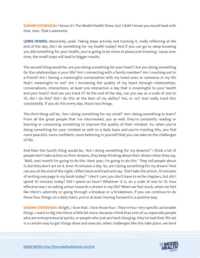SHAWN STEVENSON: I know it's The Model Health Show, but I didn't know you would lead with that, man. That's awesome.

LEWIS HOWES: Absolutely, yeah. Taking steps actively and tracking it, really reflecting at the end of the day, did I do something for my health today? And if you can go to sleep knowing you did something for your health, you're going to be more at peace just knowing, 'cause over time, the small steps will lead to bigger results.

The second thing would be, are you doing something for your heart? Are you doing something for the relationships in your life? Am I connecting with a family member? Am I reaching out to a friend? Am I having a meaningful conversation with my loved ones or someone in my life that's meaningful to me? Am I increasing the quality of my heart through relationships, conversations, interactions, at least one interaction a day that is meaningful to your health and your heart? And can you track it? At the end of the day, can you say on a scale of one to 10, did I do this? Did I do this at the best of my ability? Yes, or no? And really track this consistently. If you do this every day, those two things.

The third thing will be, "Am I doing something for my mind?" Am I doing something to learn? From all the great people that I've interviewed, you as well, they're constantly reading or learning or consuming something to improve the quality of their mindset. So, when you're doing something for your mindset as well on a daily basis and you're tracking this, you feel more peaceful, more confident, more believing in yourself that you can take on the challenges of life.

And then the fourth thing would be, "Am I doing something for my dreams?" I think a lot of people don't take action on their dreams, they keep thinking about their dream when they say, "Well, next month I'm going to do this. Next year, I'm going to do this." They tell people about it, but they don't act on it. Even 10 minutes a day. So, am I doing something for my dream? And can you at the end of the night, reflect back and track and say, "Did I take the action, 10 minutes of writing one page in my book today?" I don't care, you don't have to write chapters, but did I spend 10 minutes today? Did I spend an hour? Whatever it is, on a scale of one to 10, how effective was I on taking action towards a dream in my life? When we feel stuck, when we feel like there's adversity or going through a breakup or a breakdown, if you can continue to do those four things on a daily basis, you're at least moving forward in a positive way.

**SHAWN STEVENSON:** Alright, I love that. I love those four. They're four very specific actionable things. I want to dig into these a little bit more, because I think that a lot of us, especially people who are entrepreneurial spirits, or people who just are hard charging, they've had their life set in a certain way to get things done and execute, when challenges like this take place, we tend

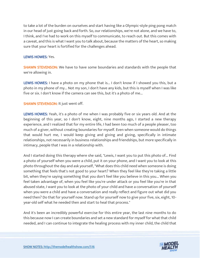to take a lot of the burden on ourselves and start having like a Olympic-style ping pong match in our head of just going back and forth. So, our relationships, we're not alone, and we have to, I think, and I've had to work on this myself to communicate, to reach out. But this comes with a caveat, and this is what I want you to talk about, because the matters of the heart, so making sure that your heart is fortified for the challenges ahead.

#### LEWIS HOWES: Yes.

**SHAWN STEVENSON:** We have to have some boundaries and standards with the people that we're allowing in.

LEWIS HOWES: I have a photo on my phone that is... I don't know if I showed you this, but a photo in my phone of my... Not my son, I don't have any kids, but this is myself when I was like five or six. I don't know if the camera can see this, but it's a photo of me...

# SHAWN STEVENSON: It just went off.

LEWIS HOWES: Yeah, it's a photo of me when I was probably five or six years old. And at the beginning of this year, so I don't know, eight, nine months ago, I started a new therapy experience, and I realized that for my entire life, I had been too much of a people pleaser, too much of a giver, without creating boundaries for myself. Even when someone would do things that would hurt me, I would keep giving and giving and giving, specifically in intimate relationships, not necessarily in business relationships and friendships, but more specifically in intimacy, people that I was in a relationship with.

And I started doing this therapy where she said, "Lewis, I want you to put this photo of... Find a photo of yourself when you were a child, put it on your phone, and I want you to look at this photo throughout the day and ask yourself, "What does this child need when someone is doing something that feels that's not good to your heart? When they feel like they're taking a little bit, when they're saying something that you don't feel like you believe in this you... When you feel taken advantage of, when you feel like you're under attack or you feel like you're in that abused state, I want you to look at the photo of your child and have a conversation of yourself when you were a child and have a conversation and really reflect and figure out what did you need then? Do that for yourself now. Stand up for yourself now to give your five, six, eight, 10 year-old self what he needed then and start to heal that process."

And it's been an incredibly powerful exercise for this entire year, the last nine months to do this because now I can create boundaries and set a new standard for myself for what that child needed, and I can continue to integrate the healing process with my inner child, the child that

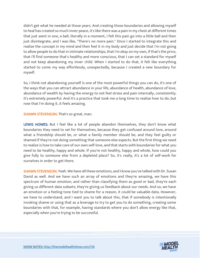didn't get what he needed at those years. And creating those boundaries and allowing myself to heal has created so much inner peace, it's like there was a pain in my chest at different times that just went in one, a ball, literally in a moment, I felt this pain go into a little ball and then just disintegrate, and I was like, "There's no more pain." Once I started to integrate this and realize the concept in my mind and then feel it in my body and just decide that I'm not going to allow people to do that in intimate relationships, that I'm okay on my own, if that's the price, that I'll find someone that's healthy and more conscious, that I can set a standard for myself and not keep abandoning my inner child. When I started to do that, it felt like everything started to come my way effortlessly, unexpectedly, because I created a new boundary for myself.

So, I think not abandoning yourself is one of the most powerful things you can do, it's one of the ways that you can attract abundance in your life, abundance of health, abundance of love, abundance of wealth by having the energy to not feel stress and pain internally, consistently; it's extremely powerful. And it's a practice that took me a long time to realize how to do, but now that I'm doing it, it feels amazing.

**SHAWN STEVENSON: That's so great, man.** 

LEWIS HOWES: But I feel like a lot of people abandon themselves, they don't know what boundaries they need to set for themselves, because they get confused around love, around what a friendship should be, or what a family member should be, and they feel guilty or shamed if they're not doing something that someone else expects. But the first thing we need to realize is how to take care of our own self-love, and that starts with boundaries for what you need to be healthy, happy and whole. If you're not healthy, happy and whole, how could you give fully to someone else from a depleted place? So, it's really, it's a lot of self-work for ourselves in order to get there.

SHAWN STEVENSON: Yeah. We have all these emotions, and I know you've talked with Dr. Susan David as well. And we have such an array of emotions and they're amazing, we have this spectrum of human emotion, and rather than classifying them as good or bad, they're each giving us different data subsets, they're giving us feedback about our needs. And so, we have an emotion or a feeling tone tied to shame for a reason, it could be valuable data. However, we have to understand, and I want you to talk about this, that if somebody is intentionally invoking shame or using that as a leverage to try to get you to do something, creating some boundaries with that, for example, having standards where you don't allow energy like that, especially when you're trying to be successful.

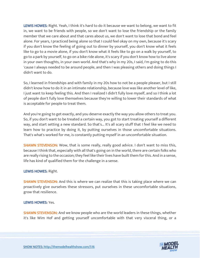LEWIS HOWES: Right. Yeah, I think it's hard to do it because we want to belong, we want to fit in, we want to be friends with people, so we don't want to lose the friendship or the family member that we care about and that cares about us, we don't want to lose that bond and feel alone. For years, I practiced being alone so that I could feel okay on my own, because it's scary if you don't know the feeling of going out to dinner by yourself, you don't know what it feels like to go to a movie alone, if you don't know what it feels like to go on a walk by yourself, to go to a park by yourself, to go on a bike ride alone, it's scary if you don't know how to live alone in your own thoughts, in your own world. And that's why in my 20s, I said, I'm going to do this 'cause I always needed to be around people, and then I was pleasing others and doing things I didn't want to do.

So, I learned in friendships and with family in my 20s how to not be a people pleaser, but I still didn't know how to do it in an intimate relationship, because love was like another level of like, I just want to keep feeling this. And then I realized I didn't fully love myself, and so I think a lot of people don't fully love themselves because they're willing to lower their standards of what is acceptable for people to treat them.

And you're going to get exactly, and you deserve exactly the way you allow others to treat you. So, if you don't want to be treated a certain way, you got to start treating yourself a different way, and start setting a new standard. So that's... It's all scary stuff that I feel like we need to learn how to practice by doing it, by putting ourselves in those uncomfortable situations. That's what's worked for me, is constantly putting myself in an uncomfortable situation.

**SHAWN STEVENSON:** Wow, that is some really, really good advice. I don't want to miss this, because I think that, especially with all that's going on in the world, there are certain folks who are really rising to the occasion; they feel like their lives have built them for this. And in a sense, life has kind of qualified them for the challenge in a sense.

# LEWIS HOWES: Right.

**SHAWN STEVENSON:** And this is where we can realize that this is taking place where we can proactively give ourselves these stressors, put ourselves in these uncomfortable situations, grow that resilience.

#### LEWIS HOWES: Yes.

**SHAWN STEVENSON:** And we know people who are the world leaders in these things, whether it's like Wim Hof and getting yourself uncomfortable with that very visceral thing, or a

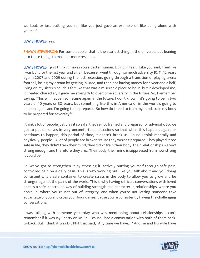workout, or just putting yourself like you just gave an example of, like being alone with yourself.

# LEWIS HOWES: Yes.

SHAWN STEVENSON: For some people, that is the scariest thing in the universe, but leaning into those things to make us more resilient.

LEWIS HOWES: I just think it makes you a better human. Living in fear... Like you said, I feel like I was built for the last year and a half, because I went through so much adversity 10, 11, 12 years ago in 2007 and 2009 during the last recession, going through a transition of playing arena football, losing my dream by getting injured, and then not having money for a year and a half, living on my sister's couch. I felt like that was a miserable place to be in, but it developed me, it created character, it gave me strength to overcome adversity in the future. So, I remember saying, "This will happen sometime again in the future. I don't know if it's going to be in two years or 10 years or 30 years, but something like this in America or in the world's going to happen again, and I'm going to be prepared. So how do I need to train my mind, train my body to be prepared for adversity?"

I think a lot of people just play it so safe, they're not trained and prepared for adversity. So, we got to put ourselves in very uncomfortable situations so that when this happens again, or continues to happen, this period of time, it doesn't break us. 'Cause I think mentally and physically, people... A lot of people are broken 'cause they weren't prepared. They played it too safe in life, they didn't train their mind, they didn't train their body, their relationships weren't strong enough, and therefore they are... Their body, their mind is suppressed from how strong it could be.

So, we've got to strengthen it by stressing it, actively putting yourself through safe pain, controlled pain on a daily basis. This is why working out, like you talk about and you doing consistently, is a safe container to create stress in the body to allow you to grow and be stronger against the pains of the world. This is why having difficult conversations with loved ones is a safe, controlled way of building strength and character in relationships, where you don't lie, where you're not out of integrity, and when you're not letting someone take advantage of you and cross your boundaries, 'cause you're consistently having the challenging conversations.

I was talking with someone yesterday who was mentioning about relationships. I can't remember if it was Jay Shetty or Dr. Phil, 'cause I had a conversation with both of them backto-back. But I think it was Dr. Phil that said, "Any time we have... " And he and his wife have

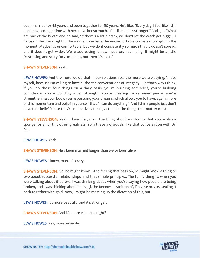been married for 45 years and been together for 50 years. He's like, "Every day, I feel like I still don't have enough time with her. I love her so much. I feel like it gets stronger." And I go, "What are one of the keys?" and he said, "If there's a little crack, we don't let the crack get bigger. I focus on the crack right in the moment we have the uncomfortable conversation right in the moment. Maybe it's uncomfortable, but we do it consistently so much that it doesn't spread, and it doesn't get wider. We're addressing it now, head on, not hiding. It might be a little frustrating and scary for a moment, but then it's over."

#### SHAWN STEVENSON: Yeah.

LEWIS HOWES: And the more we do that in our relationships, the more we are saying, "I love myself, because I'm willing to have authentic conversations of integrity." So that's why I think, if you do those four things on a daily basis, you're building self-belief, you're building confidence, you're building inner strength, you're creating more inner peace, you're strengthening your body, you're pursuing your dreams, which allows you to have, again, more of this momentum and belief in yourself that, "I can do anything." And I think people just don't have that belief 'cause they're not actively taking action on the things that matter most.

SHAWN STEVENSON: Yeah. I love that, man. The thing about you too, is that you're also a sponge for all of this other greatness from these individuals, like that conversation with Dr. Phil.

#### LEWIS HOWES: Yeah.

**SHAWN STEVENSON:** He's been married longer than we've been alive.

LEWIS HOWES: I know, man. It's crazy.

**SHAWN STEVENSON:** So, he might know... And feeling that passion, he might know a thing or two about successful relationships, and that simple principle... The funny thing is, when you were talking about it before, I was thinking about when you're saying how people are being broken, and I was thinking about kintsugi, the Japanese tradition of, if a vase breaks, sealing it back together with gold. Now, I might be messing up the dictation of this, but...

LEWIS HOWES: It's more beautiful and it's stronger.

SHAWN STEVENSON: And it's more valuable, right?

LEWIS HOWES: Yes, more valuable.

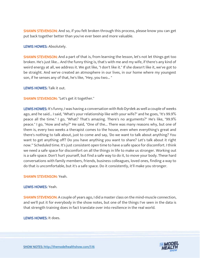**SHAWN STEVENSON:** And so, if you felt broken through this process, please know you can get put back together better than you've ever been and more valuable.

#### LEWIS HOWES: Absolutely.

**SHAWN STEVENSON:** And a part of that is, from learning the lesson, let's not let things get too broken. He's just like... And the funny thing is, that's with me and my wife, if there's any kind of weird energy at all, we address it. We got like, "I don't like it." If she doesn't like it, we've got to be straight. And we've created an atmosphere in our lives, in our home where my youngest son, if he senses any of that, he's like, "Hey, you two... "

LEWIS HOWES: Talk it out.

SHAWN STEVENSON: "Let's get it together."

LEWIS HOWES: It's funny, I was having a conversation with Rob Dyrdek as well a couple of weeks ago, and he said... I said, "What's your relationship like with your wife?" and he goes, "It's 99.9% peace all the time." I go, "What? That's amazing. There's no arguments?" He's like, "99.9% peace." I go, "How and why?" He said, "One of the... There was many reasons why, but one of them is, every two weeks a therapist comes to the house, even when everything's great and there's nothing to talk about, just to come and say, 'Do we want to talk about anything? You want to get anything off? Do you have anything you want to share? Let's talk about it right now.'" Scheduled time. It's just consistent open time to have a safe space for discomfort. I think we need a safe space for discomfort on all the things in life to make us stronger. Working out is a safe space. Don't hurt yourself, but find a safe way to do it, to move your body. These hard conversations with family members, friends, business colleagues, loved ones, finding a way to do that is uncomfortable, but it's a safe space. Do it consistently, it'll make you stronger.

#### SHAWN STEVENSON: Yeah.

#### LEWIS HOWES: Yeah.

SHAWN STEVENSON: A couple of years ago, I did a master class on the mind-muscle connection, and we'll put it for everybody in the show notes, but one of the things I've seen in the data is that strength training does in fact translate over into resilience in the real world.

LEWIS HOWES: It does.

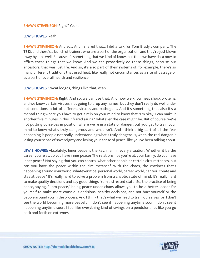#### SHAWN STEVENSON: Right? Yeah.

#### LEWIS HOWES: Yeah.

SHAWN STEVENSON: And so... And I shared that... I did a talk for Tom Brady's company, The TB12, and there's a bunch of trainers who are a part of the organization, and they're just blown away by it as well. Because it's something that we kind of know, but then we have data now to affirm these things that we know. And we can proactively do these things, because our ancestors, that was just life. And so, it's also part of their systems of, for example, there's so many different traditions that used heat, like really hot circumstances as a rite of passage or as a part of overall health and resilience.

LEWIS HOWES: Sweat lodges, things like that, yeah.

**SHAWN STEVENSON:** Right. And so, we can use that. And now we know heat shock proteins, and we know certain viruses, not going to drop any names, but they don't really do well under hot conditions, a lot of different viruses and pathogens. And it's something that also it's a mental thing where you have to get a rein on your mind to know that "I'm okay, I can make it another five minutes in this infrared sauna," whatever the case might be. But of course, we're not putting ourselves in position where we're in a state of danger, but you get to train your mind to know what's truly dangerous and what isn't. And I think a big part of all the fear happening is people not really understanding what's truly dangerous, when the real danger is losing your sense of sovereignty and losing your sense of peace, like you've been talking about.

LEWIS HOWES: Absolutely. Inner peace is the key, man, in every situation. Whether it be the career you're at, do you have inner peace? The relationships you're at, your family, do you have inner peace? Not saying that you can control what other people or certain circumstances, but can you have the peace within the circumstance? With the chaos, the craziness that's happening around your world, whatever it be, personal world, career world, can you create and stay at peace? It's really hard to solve a problem from a chaotic state of mind. It's really hard to make quality decisions and say good things from a stressed state. So, the practice of being peace, saying, "I am peace," being peace under chaos allows you to be a better leader for yourself to make more conscious decisions, healthy decisions, and not hurt yourself or the people around you in the process. And I think that's what we need to train ourselves for. I don't see the world becoming more peaceful. I don't see it happening anytime soon. I don't see it happening anytime soon. I feel like everything kind of swings on a pendulum. It's like you go back and forth on extremes.

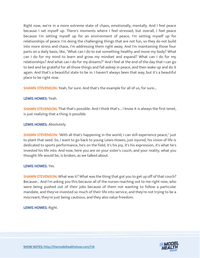Right now, we're in a more extreme state of chaos, emotionally, mentally. And I feel peace because I set myself up. There's moments where I feel stressed, but overall, I feel peace because I'm setting myself up for an environment of peace, I'm setting myself up for relationships of peace. I'm doing the challenging things that are not fun, so they do not build into more stress and chaos, I'm addressing them right away. And I'm maintaining those four parts on a daily basis, like, "What can I do to eat something healthy and move my body? What can I do for my mind to learn and grow my mindset and expand? What can I do for my relationships? And what can I do for my dreams?" And I feel at the end of the day that I can go to bed and be grateful for all those things and fall asleep in peace, and then wake up and do it again. And that's a beautiful state to be in. I haven't always been that way, but it's a beautiful place to be right now.

**SHAWN STEVENSON:** Yeah, for sure. And that's the example for all of us, for sure...

#### LEWIS HOWES: Yeah.

**SHAWN STEVENSON:** That that's possible. And I think that's... I know it is always the first tenet, is just realizing that a thing is possible.

# LEWIS HOWES: Absolutely.

**SHAWN STEVENSON:** "With all that's happening in the world, I can still experience peace," just to plant that seed. So, I want to go back to young Lewis Howes, just injured, his vision of life is dedicated to sports performance, he's on the field, it's his joy, it's his expression, it's what he's invested his life into. And now, here you are on your sister's couch, and your reality, what you thought life would be, is broken, as we talked about.

#### LEWIS HOWES: Yes.

SHAWN STEVENSON: What was it? What was the thing that got you to get up off of that couch? Because... And I'm asking you this because all of the nurses reaching out to me right now, who were being pushed out of their jobs because of them not wanting to follow a particular mandate, and they've invested so much of their life into service, and they're not trying to be a miscreant, they're just being cautious, and they also value freedom.

#### LEWIS HOWES: Right.

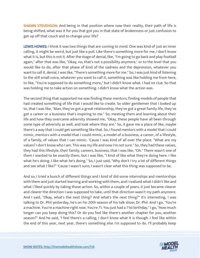**SHAWN STEVENSON:** And being in that position where now their reality, their path of life is being shifted, what was it for you that got you in that state of brokenness or just confusion to get up off that couch and to change your life?

LEWIS HOWES: I think it was two things that are coming to mind. One was kind of just an inner calling, it might be weird, but just like a pull. Like there's something more for me, I don't know what it is, but this is not it. After the stage of denial, like, "I'm going to go back and play football again," after that was like, "Okay, no, that's not a possibility anymore," or to the level that you would like to do, after that phase of kind of the sadness and the depression, whatever you want to call it, denial, I was like, "There's something more for me." So, I was just kind of listening to the still small voice, whatever you want to call it, something was like holding me from here, to like, "You're supposed to do something more," but I didn't know what. I had no clue. So that was holding me to take action on something. I didn't know what the action was.

The second thing that supported me was finding these mentors, finding models of people that had created something of life that I would like to create. So older gentlemen that I looked up to, that I was like, "Man, they've got a great relationship, they've got a great family life, they've got a career or a business that's inspiring to me." So, meeting them and learning about their life and how they overcame adversity showed me, "Okay, these people have all been through some type of adversity as well, and look where they are." So, it gave me a place of like, maybe there's a way that I could get something like that. So, I found mentors with a model that I could mimic, mentors with a model that I could mimic, a model of a business, a career, of a lifestyle, of a family, of values that I can mimic. 'Cause I was kind of all over the place. "What are my values? I don't know who I am. This was my life and now I'm not sure." So, they had these values, they had this lifestyle, their family, careers, business, that I was like, "Oh." There wasn't one of them I wanted to be exactly them, but I was like, "I kind of like what they're doing here. I like what he's doing. I like what he's doing." So, I just said, "Why don't I try a lot of different things and see what I like?" 'Cause I wasn't sure; I wasn't clear what this thing was supposed to be.

And so, I tried a bunch of different things and I kind of did some internships and mentorships with them and just started learning and working with them, and I realized what I didn't like and what I liked quickly by taking those action. So, within a couple of years, it just became clearer and clearer the direction I was supposed to take, until that direction wasn't my path anymore. And I said, "Okay, what's the next thing? And what's the next thing?" It's interesting, I was talking to Dr. Phil yesterday, he's on his 20th season of his talk show, Dr. Phil. And I go, "You're a machine. You're a machine right now. You're 71. You just had a 71st birthday." I go, "How much longer can you keep doing this? Or do you feel like there's another chapter for you, another season?" And he said, "I feel there's a calling, I don't know what it is though. I feel like within the end of this year, next year, there's something else I'm supposed to do. I'll probably keep

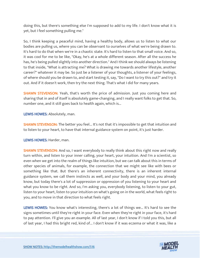doing this, but there's something else I'm supposed to add to my life. I don't know what it is yet, but I feel something pulling me."

So, I think keeping a peaceful mind, having a healthy body, allows us to listen to what our bodies are pulling us, where you can be observant to ourselves of what we're being drawn to. It's hard to do that when we're in a chaotic state. It's hard to listen to that small voice. And so, it was cool for me to be like, "Okay, he's at a whole different season. After all the success he has, he's being pulled slightly into another direction." And I think we should always be listening to that inside, "What is attracting me? What is drawing me towards another lifestyle, another career?" whatever it may be. So just be a listener of your thoughts, a listener of your feelings, of where should you be drawn to, and start testing it, say, "Do I want to try this out?" and try it out. And if it doesn't work, then try the next thing. That's what I did for many years.

**SHAWN STEVENSON:** Yeah, that's worth the price of admission. Just you coming here and sharing that in and of itself is absolutely game-changing, and I really want folks to get that. So, number one, and it still goes back to health again, which is...

LEWIS HOWES: Absolutely, man.

**SHAWN STEVENSON:** The better you feel... It's not that it's impossible to get that intuition and to listen to your heart, to have that internal guidance system on point, it's just harder.

LEWIS HOWES: Harder, man.

SHAWN STEVENSON: And so, I want everybody to really think about this right now and really turn within, and listen to your inner calling, your heart, your intuition. And I'm a scientist, so even when we get into the realm of things like intuition, but we can talk about this in terms of other species of animals, for example, the connection that we might see like with bees or something like that. But there's an inherent connectivity, there is an inherent internal guidance system, we call them instincts as well, and your body and your mind, you already know, but today there's a lot of suppression or oppression of you listening to your heart and what you know to be right. And so, I'm asking you, everybody listening, to listen to your gut, listen to your heart, listen to your intuition on what's going on in the world, what feels right to you, and to move in that direction to what feels right.

LEWIS HOWES: You know what's interesting, there's a lot of things we... It's hard to see the signs sometimes until they're right in your face. Even when they're right in your face, it's hard to pay attention. I'll give you an example. All of last year, I don't know if I told you this, but all of last year, I had this bright red, kind of... I don't know if it was eczema or what it was, like a

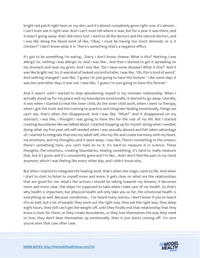bright red patch right here on my skin, and it's almost completely gone right now, it's almost... I can't even see it right now. And I can't even tell where it was, but for a year it was there, and it wasn't going away. And I did every test. I went to all the doctors and the natural doctors, and I was like doing the blood work of like, "Okay, I must be having too much almonds, or is it chicken?" I don't know what it is. There's something that's a negative effect.

It's got to be something I'm eating... Dairy, I don't know, cheese. What is this? Nothing I was allergic to, nothing I was allergic to. And I was like... And then I started to get it spreading on my stomach and near my groin. And I was like, "Do I have some disease? What is this?" And it was like bright red. So, it was kind of looked uncomfortable. I was like, "Oh, this is kind of weird." And nothing changed. I was like, "I guess I'm just going to have this forever." Like some days it was less and other days it was not. I was like, "I guess I'm just going to have this forever."

And it wasn't until I started to stop abandoning myself in my intimate relationship. When I actually stood up for my peace and my boundaries emotionally, it started to go away. Literally, it was when I started to heal the inner child, do the inner child work, when I went to therapy, when I got the tools and the training to practice and integrate healing emotionally, things we can't see, that's when this disappeared. And I was like, "What?" And it disappeared on my stomach, I was like, I thought I was going to have this for the rest of my life. But I started creating boundaries like we talked about, I started stepping up for myself, doing what I needed, doing what my five-year-old self needed when I was sexually abused and felt taken advantage of, I started to integrate that into my adult self, into my life and create harmony with my heart, my emotions, and my thoughts, and it went away. I was like, There's something to the unseen, there's something here, you can't hold on to it, it's hard to measure it in science. These thoughts, the emotions, creating boundaries, healing something, it's hard to really measure that, but it's gone, and it's consistently gone and I'm like... And I don't feel the pain in my chest anymore, which I was feeling like every other day, and I didn't know why.

But when I started to integrate the healing work, that's when the magic came to life. And when I start to start to listen to myself more and more, it gets clear on what are the relationships that are good for me, what's the actions I should be taking towards my dreams, it becomes more and more clear, the steps I'm supposed to take when I take care of my health. So that's why health is important, but physical health will only take you so far, the emotional health is everything as well. Because sometimes... I've heard many stories, I don't know if you've heard this as well, but a lot of people, they work out the right way, they eat the right way, they sleep eight hours, they still can't get the weight off, until they finally end that relationship that they know is toxic for them, or they create boundaries, or they love themselves the way they need to love, they don't beat themselves up emotionally, then it just starts coming off. I'm sure you've seen that case after case.

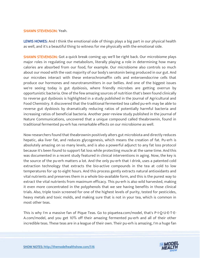#### SHAWN STEVENSON: Yeah.

LEWIS HOWES: And I think the emotional side of things plays a big part in our physical health as well, and it's a beautiful thing to witness for me physically with the emotional side.

**SHAWN STEVENSON:** Got a quick break coming up; we'll be right back. Our microbiome plays major roles in regulating our metabolism, literally playing a role in determining how many calories are absorbed from our food, for example. Our microbiome also controls so much about our mood with the vast majority of our body's serotonin being produced in our gut. And our microbes interact with these enterochromaffin cells and enteroendocrine cells that produce our hormones and neurotransmitters in our bellies. And one of the biggest issues we're seeing today is gut dysbiosis, where friendly microbes are getting overrun by opportunistic bacteria. One of the few amazing sources of nutrition that's been found clinically to reverse gut dysbiosis is highlighted in a study published in the Journal of Agricultural and Food Chemistry. It discovered that the traditional fermented tea called pu-erh may be able to reverse gut dysbiosis by dramatically reducing ratios of potentially harmful bacteria and increasing ratios of beneficial bacteria. Another peer-review study published in the journal of Nature Communications, uncovered that a unique compound called theabrownin, found in traditional fermented pu-erh has remarkable effects on our microbiome as well.

Now researchers found that theabrownin positively alters gut microbiota and directly reduces hepatic, aka liver fat, and reduces glycogenesis, which means the creation of fat. Pu-erh is absolutely amazing on so many levels, and is also a powerful adjunct to any fat loss protocol because it's been found to support fat loss while protecting muscle at the same time. And this was documented in a recent study featured in clinical interventions in aging. Now, the key is the source of the pu-erh matters a lot. And the only pu-erh that I drink, uses a patented cold extraction technology that extracts the bio-active compounds in the tea at cold to low temperatures for up to eight hours. And this process gently extracts natural antioxidants and vital nutrients and preserves them in a whole bio-available form, and this is the purest way to extract the vital nutrients from maximum efficacy. This pu-erh is also wild harvested, making it even more concentrated in the polyphenols that we see having benefits in those clinical trials. Also, triple toxin screened for one of the highest levels of purity, tested for pesticides, heavy metals and toxic molds, and making sure that is not in your tea, which is common in most other teas.

This is why I'm a massive fan of Pique Teas. Go to piquetea.com/model, that's P-I-Q-U-E-T-E-A.com/model, and you get 10% off their amazing fermented pu-erh and all of their other incredible teas. These teas are in a league of their own. Their pu-erh is amazing, I'm a huge fan

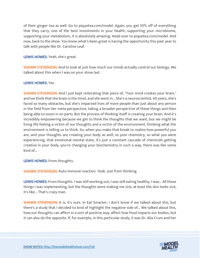of their ginger tea as well. Go to piquetea.com/model. Again, you get 10% off of everything that they carry, one of the best investments in your health, supporting your microbiome, supporting your metabolism, it is absolutely amazing. Head over to piquetea.com/model. And now, back to the show. You know what's been great is having the opportunity this past year to talk with people like Dr. Caroline Leaf.

LEWIS HOWES: Yeah, she's great.

**SHAWN STEVENSON:** And to look at just how much our minds actually control our biology. We talked about this when I was on your show last.

# LEWIS HOWES: Yes.

**SHAWN STEVENSON:** And I just kept reiterating that piece of, "Your mind creates your brain," and we think that the brain is the mind, and she went in... She's a neuroscientist, 40 years, she's faced so many obstacles, but she's impacted lives of more people than just about any person in the field from her meta-perspective, taking a broader perspective of these things and then being able to zoom in on parts. But the process of thinking itself is creating your brain. And it's incredibly empowering because we get to think the thoughts that we want, but we might be living life feeling a victim of our thoughts and a victim of the environment, thinking what the environment is telling us to think. So, when you make that break to realize how powerful you are, and your thoughts are creating your body as well, so your chemistry, so what you were experiencing, that emotional mental state, it's just a constant cascade of chemicals getting creative in your body, you're changing your biochemistry in such a way, there was like some kind of...

LEWIS HOWES: From thoughts.

**SHAWN STEVENSON:** Auto-immune reaction. Yeah. Just from thinking.

LEWIS HOWES: From thoughts. I was still working out, I was still eating healthy, I was... All these things I was implementing, but the thoughts were making me sick, at least the skin looks sick, it's like... That's crazy man.

SHAWN STEVENSON: It is, it's nuts. In Eat Smarter, I don't know if we talked about this, but there's a study that I decided to kind of highlight the negative side of... We talked about this, how our thoughts can affect in a sort of positive way, affect how food impacts our bodies, but it can also do the opposite. If, for example, in this particular study, it was Dr. Alia Crum and her

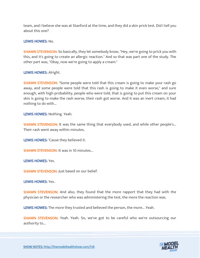team, and I believe she was at Stanford at the time, and they did a skin prick test. Did I tell you about this one?

#### LEWIS HOWES: No.

**SHAWN STEVENSON:** So basically, they let somebody know, "Hey, we're going to prick you with this, and it's going to create an allergic reaction." And so that was part one of the study. The other part was, "Okay, now we're going to apply a cream."

#### LEWIS HOWES: Alright.

SHAWN STEVENSON: "Some people were told that this cream is going to make your rash go away, and some people were told that this rash is going to make it even worse," and sure enough, with high probability, people who were told, that is going to put this cream on your skin is going to make the rash worse, their rash got worse. And it was an inert cream, it had nothing to do with...

LEWIS HOWES: Nothing. Yeah.

**SHAWN STEVENSON:** It was the same thing that everybody used, and while other people's... Their rash went away within minutes.

LEWIS HOWES: 'Cause they believed it.

**SHAWN STEVENSON: It was in 10 minutes...** 

LEWIS HOWES: Yes.

SHAWN STEVENSON: Just based on our belief.

LEWIS HOWES: Yes.

**SHAWN STEVENSON:** And also, they found that the more rapport that they had with the physician or the researcher who was administering the test, the more the reaction was.

LEWIS HOWES: The more they trusted and believed the person, the more... Yeah.

SHAWN STEVENSON: Yeah. Yeah. So, we've got to be careful who we're outsourcing our authority to...

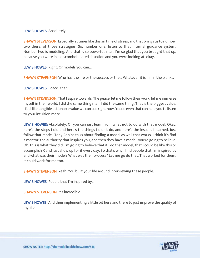LEWIS HOWES: Absolutely.

**SHAWN STEVENSON:** Especially at times like this, in time of stress, and that brings us to number two there, of those strategies. So, number one, listen to that internal guidance system. Number two is modeling. And that is so powerful, man, I'm so glad that you brought that up, because you were in a discombobulated situation and you were looking at, okay...

LEWIS HOWES: Right. Or models you can...

SHAWN STEVENSON: Who has the life or the success or the... Whatever it is, fill in the blank...

LEWIS HOWES: Peace. Yeah.

SHAWN STEVENSON: That I aspire towards. The peace, let me follow their work, let me immerse myself in their world. I did the same thing man; I did the same thing. That is the biggest value, I feel like tangible actionable value we can use right now, 'cause even that can help you to listen to your intuition more...

LEWIS HOWES: Absolutely. Or you can just learn from what not to do with that model. Okay, here's the steps I did and here's the things I didn't do, and here's the lessons I learned. Just follow that model. Tony Robins talks about finding a model as well that works, I think it's find a mentor, the authority that inspires you, and then they have a model, you're going to believe. Oh, this is what they did. I'm going to believe that if I do that model, that I could be like this or accomplish X and just show up for it every day. So that's why I find people that I'm inspired by and what was their model? What was their process? Let me go do that. That worked for them. It could work for me too.

**SHAWN STEVENSON:** Yeah. You built your life around interviewing these people.

LEWIS HOWES: People that I'm inspired by...

SHAWN STEVENSON: It's incredible.

LEWIS HOWES: And then implementing a little bit here and there to just improve the quality of my life.

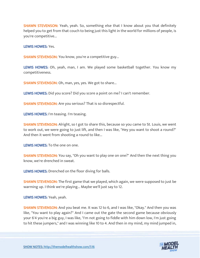**SHAWN STEVENSON:** Yeah, yeah. So, something else that I know about you that definitely helped you to get from that couch to being just this light in the world for millions of people, is you're competitive...

LEWIS HOWES: Yes.

**SHAWN STEVENSON:** You know, you're a competitive guy...

LEWIS HOWES: Oh, yeah, man, I am. We played some basketball together. You know my competitiveness.

SHAWN STEVENSON: Oh, man, yes, yes. We got to share...

LEWIS HOWES: Did you score? Did you score a point on me? I can't remember.

SHAWN STEVENSON: Are you serious? That is so disrespectful.

LEWIS HOWES: I'm teasing. I'm teasing.

**SHAWN STEVENSON:** Alright, so I got to share this, because so you came to St. Louis, we went to work out, we were going to just lift, and then I was like, "Hey you want to shoot a round?" And then it went from shooting a round to like...

LEWIS HOWES: To the one on one.

**SHAWN STEVENSON:** You say, "Oh you want to play one on one?" And then the next thing you know, we're drenched in sweat.

LEWIS HOWES: Drenched on the floor diving for balls.

**SHAWN STEVENSON:** The first game that we played, which again, we were supposed to just be warming up. I think we're playing... Maybe we'll just say to 12.

LEWIS HOWES: Yeah, yeah.

SHAWN STEVENSON: And you beat me. It was 12 to 6, and I was like, "Okay." And then you was like, "You want to play again?" And I came out the gate the second game because obviously your 6'4 you're a big guy, I was like, "I'm not going to fiddle with him down low, I'm just going to hit these jumpers," and I was winning like 10 to 4. And then in my mind, my mind jumped in,

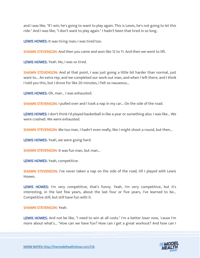and I was like, "If I win, he's going to want to play again. This is Lewis, he's not going to let this ride." And I was like, "I don't want to play again." I hadn't been that tired in so long.

LEWIS HOWES: It was tiring man; I was tired too.

**SHAWN STEVENSON:** And then you came and won like 12 to 11. And then we went to lift.

LEWIS HOWES: Yeah. No, I was so tired.

**SHAWN STEVENSON:** And at that point, I was just going a little bit harder than normal, just want to... An extra rep, and we completed our work out man, and when I left there, and I think I told you this, but I drove for like 20 minutes, I felt so nauseous...

LEWIS HOWES: Oh, man... I was exhausted.

SHAWN STEVENSON: I pulled over and I took a nap in my car... On the side of the road.

LEWIS HOWES: I don't think I'd played basketball in like a year or something also. I was like... We were crashed. We were exhausted.

**SHAWN STEVENSON:** Me too man, I hadn't even really, like I might shoot a round, but then...

LEWIS HOWES: Yeah, we were going hard.

**SHAWN STEVENSON: It was fun man, but man...** 

LEWIS HOWES: Yeah, competitive.

SHAWN STEVENSON: I've never taken a nap on the side of the road, till I played with Lewis Howes.

LEWIS HOWES: I'm very competitive, that's funny. Yeah, I'm very competitive, but it's interesting, in the last few years, about the last four or five years, I've learned to be... Competitive still, but still have fun with it.

#### SHAWN STEVENSON: Yeah.

LEWIS HOWES: And not be like, "I need to win at all costs." I'm a better loser now, 'cause I'm more about what's... "How can we have fun? How can I get a great workout? And how can I

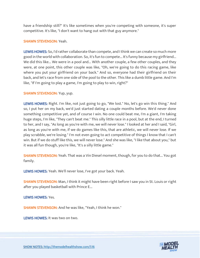have a friendship still?" It's like sometimes when you're competing with someone, it's super competitive. It's like, "I don't want to hang out with that guy anymore."

# SHAWN STEVENSON: Yeah.

LEWIS HOWES: So, I'd rather collaborate than compete, and I think we can create so much more good in the world with collaboration. So, it's fun to compete... It's funny because my girlfriend... We did this like... We were in a pool and... With another couple, a few other couples, and they were, at one point, this other couple was like, "Oh, we're going to do this racing game, like where you put your girlfriend on your back." And so, everyone had their girlfriend on their back, and let's race from one side of the pool to the other. This like a dumb little game. And I'm like, "If I'm going to play a game, I'm going to play to win, right?"

#### SHAWN STEVENSON: Yup, yup.

LEWIS HOWES: Right. I'm like, not just going to go, "We lost." No, let's go win this thing." And so, I put her on my back, we'd just started dating a couple months before. We'd never done something competitive yet, and of course I win. No one could beat me, I'm a giant, I'm taking huge steps, I'm like, "They can't beat me." This silly little race in a pool, but at the end, I turned to her, and I say, "As long as you're with me, we will never lose." I looked at her and I said, "Girl, as long as you're with me, if we do games like this, that are athletic, we will never lose. If we play scrabble, we're losing." I'm not even going to act competitive of things I know that I can't win. But if we do stuff like this, we will never lose." And she was like, "I like that about you," but it was all fun though, you're like, "It's a silly little game."

**SHAWN STEVENSON:** Yeah. That was a Vin Diesel moment, though, for you to do that... You got family.

LEWIS HOWES: Yeah. We'll never lose, I've got your back. Yeah.

**SHAWN STEVENSON:** Man, I think it might have been right before I saw you in St. Louis or right after you played basketball with Prince E...

LEWIS HOWES: Yes.

SHAWN STEVENSON: And he was like, "Yeah, I think he won."

LEWIS HOWES: It was two on two.

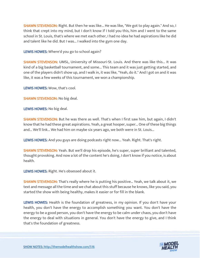**SHAWN STEVENSON:** Right. But then he was like... He was like, "We got to play again." And so, I think that crept into my mind, but I don't know if I told you this, him and I went to the same school in St. Louis, that's where we met each other, I had no idea he had aspirations like he did and talent like he did. But I was... I walked into the gym one day.

LEWIS HOWES: Where'd you go to school again?

SHAWN STEVENSON: UMSL, University of Missouri-St. Louis. And there was like this... It was kind of a big basketball tournament, and some... This team and it was just getting started, and one of the players didn't show up, and I walk in, it was like, "Yeah, do it." And I got on and it was like, it was a few weeks of this tournament, we won a championship.

LEWIS HOWES: Wow, that's cool.

SHAWN STEVENSON: No big deal.

LEWIS HOWES: No big deal.

SHAWN STEVENSON: But he was there as well. That's when I first saw him, but again, I didn't know that he had these great aspirations. Yeah, a great hooper, super... One of these big things and... We'll link... We had him on maybe six years ago, we both were in St. Louis...

LEWIS HOWES: And you guys are doing podcasts right now... Yeah. Right. That's right.

SHAWN STEVENSON: Yeah. But we'll drop his episode, he's super, super brilliant and talented, thought provoking. And now a lot of the content he's doing, I don't know if you notice, is about health.

LEWIS HOWES: Right. He's obsessed about it.

**SHAWN STEVENSON:** That's really where he is putting his positive... Yeah, we talk about it, we text and message all the time and we chat about this stuff because he knows, like you said, you started the show with being healthy, makes it easier or for fill in the blank.

LEWIS HOWES: Health is the foundation of greatness, in my opinion. If you don't have your health, you don't have the energy to accomplish something you want. You don't have the energy to be a good person, you don't have the energy to be calm under chaos, you don't have the energy to deal with situations in general. You don't have the energy to give, and I think that's the foundation of greatness.

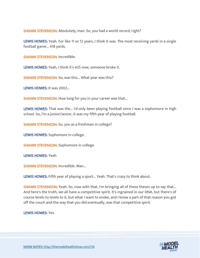SHAWN STEVENSON: Absolutely, man. So, you had a world record, right?

LEWIS HOWES: Yeah. For like 11 or 12 years, I think it was. The most receiving yards in a single football game... 418 yards.

SHAWN STEVENSON: Incredible.

LEWIS HOWES: Yeah, I think it's 425 now, someone broke it.

SHAWN STEVENSON: So, was this... What year was this?

LEWIS HOWES: It was 2002...

**SHAWN STEVENSON:** How long for you in your career was that...

LEWIS HOWES: That was the... I'd only been playing football since I was a sophomore in high school. So, I'm a junior/senior, it was my fifth year of playing football.

SHAWN STEVENSON: So, you as a freshman in college?

LEWIS HOWES: Sophomore in college.

**SHAWN STEVENSON:** Sophomore in college.

LEWIS HOWES: Yeah.

SHAWN STEVENSON: Incredible. Man...

LEWIS HOWES: Fifth year of playing a sport... Yeah. That's crazy to think about.

SHAWN STEVENSON: Yeah. So, now with that, I'm bringing all of these theses up to say that... And here's the truth, we all have a competitive spirit. It's ingrained in our DNA, but there's of course levels to levels to it, but what I want to evoke, and I know a part of that reason you got off the couch and the way that you did eventually, was that competitive spirit.

LEWIS HOWES: Yes.

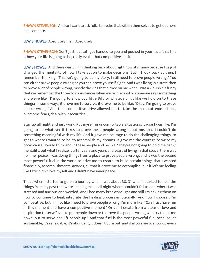**SHAWN STEVENSON:** And so I want to ask folks to evoke that within themselves to get out here and compete.

LEWIS HOWES: Absolutely man. Absolutely.

**SHAWN STEVENSON:** Don't just let stuff get handed to you and pushed in your face, that this is how your life is going to be, really evoke that competitive spirit.

LEWIS HOWES: And there was... If I'm thinking back about right now, it's funny because I've just changed the mentality of how I take action to make decisions. But if I look back at then, I remember thinking, "This isn't going to be my story, I still need to prove people wrong." You can either prove people wrong or you can prove yourself right. And I was living in a state then to prove a lot of people wrong, mostly the kids that picked on me when I was a kid. Isn't it funny that we remember the three to six instances when we're in school or someone says something and we're like, "I'm going to show you little Billy or whatever," it's like we hold on to these things? In some ways, it drove me to survive, it drove me to be like, "Okay, I'm going to prove people wrong." And that competitive drive allowed me to take the most extreme actions, overcome fears, deal with insecurities...

Stay up all night and just work. Put myself in uncomfortable situations, 'cause I was like, I'm going to do whatever it takes to prove these people wrong about me, that I couldn't do something meaningful with my life. And it gave me courage to do the challenging things, to get to where I wanted to be, to accomplish my dreams. It gave me the courage to write my book 'cause I would think about these people and be like, "They're not going to hold me back," mentality, but what I realize is after years and years and years of living in that space, there was no inner peace. I was doing things from a place to prove people wrong, and it was the second most powerful fuel in the world to drive me to create, to build certain things that I wanted financially, accomplishments, awards, all that it drove me to accomplish, but it left me feeling like I still didn't love myself and I didn't have inner peace.

That's when I started to go on a journey when I was about 30, 31 when I started to heal the things from my past that were keeping me up all night where I couldn't fall asleep, where I was stressed and anxious and worried. And I had many breakthroughs and still I'm having them on how to continue to heal, integrate the healing process emotionally. And now I choose... I'm competitive, but I'm not like I need to prove people wrong. I'm more like, "Can I just have fun in this moment and have a competitive moment? Or can I create from a place of love and inspiration to serve? Not to put people down or to prove the people wrong who try to put me down, but to serve and lift people up." And that fuel is the most powerful fuel because it's sustainable, it's renewable, it's abundant, it doesn't burn out, and it allows me to show up every

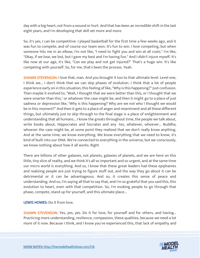day with a big heart, not from a wound or hurt. And that has been an incredible shift in the last eight years, and I'm developing that skill set more and more.

So, it's yes, I can be competitive. I played basketball for the first time a few weeks ago, and it was fun to compete, and of course our team won. It's fun to win. I love competing, but when someone hits me in an elbow, I'm not like, "I need to fight you and win at all costs." I'm like, "Okay, if we lose, we lost, but I gave my best and I'm having fun." And I didn't injure myself. It's like now at our age, it's like, "Can we play and not get injured?" That's a huge win. It's like competing with yourself. So, for me, that's been the process. Yeah.

SHAWN STEVENSON: I love that, man. And you brought it too to that ultimate level. Level one, I think we... I don't think that we can skip phases of evolution. I think that a lot of people experience early on in this situation, this feeling of like, "Why is this happening?" Just confusion. Then maybe it evolved to, "Wait, I thought that we were better than this, or I thought that we were smarter than this," or whatever the case might be, and then it might go to a place of just sadness or depression like, "Why is this happening? Why are we not who I thought we would be in this moment?" And then it gets to a place of anger and resentment and all these different things, but ultimately just to skip through to the final stage is a place of enlightenment and understanding that all humans... I know the greats throughout time, the people we talk about, write books about, Hippocrates and Socrates and any -tes, whatever, whoever... Buddha, whoever the case might be, at some point they realized that we don't really know anything. And at the same time, we know everything. We know everything that we need to know, it's kind of built into our DNA. We're connected to everything in the universe, but we consciously, we know nothing about how it all works. Right

There are billions of other galaxies, not planets, galaxies of planets, and we are here on this little, tiny slice of reality, and we think it's all so important and so urgent, and at the same time our micro world is everything. And so, I know that these great leaders had these epiphanies and realizing people are just trying to figure stuff out, and the way they go about it can be detrimental or it can be advantageous. And so, it creates this sense of peace and understanding. And so, I'm saying all that to say that, and I'm so grateful that you said this, this evolution to heart, even with that competition. So, I'm evoking people to go through that phase, compete, stand up for yourself, and this ultimate place...

LEWIS HOWES: Do it from love.

SHAWN STEVENSON: Yes, yes, yes. Do it for love, for yourself and for others, and having... Practicing more understanding, resilience, compassion, these qualities, because we need a lot more of it now. Because I think, and I know you've experienced this, that lack of empathy and

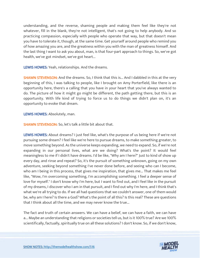understanding, and the reverse, shaming people and making them feel like they're not whatever, fill in the blank, they're not intelligent, that's not going to help anybody. And so practicing compassion, especially with people who operate that way, but that doesn't mean you have to tolerate it, though, at the same time. Get yourself around people who remind you of how amazing you are, and the greatness within you with the man of greatness himself. And the last thing I want to ask you about, man, is that four-part approach to things. So, we've got health, we've got mindset, we've got heart...

LEWIS HOWES: Yeah, relationships. And the dreams.

**SHAWN STEVENSON:** And the dreams. So, I think that this is... And I dabbled in this at the very beginning of this, I was talking to people, like I brought on Amy Porterfield, like there is an opportunity here, there's a calling that you have in your heart that you've always wanted to do. The picture of how it might go might be different, the path getting there, but this is an opportunity. With life kind of trying to force us to do things we didn't plan on, it's an opportunity to evoke that dream.

LEWIS HOWES: Absolutely, man.

SHAWN STEVENSON: So, let's talk a little bit about that.

LEWIS HOWES: About dreams? I just feel like, what's the purpose of us being here if we're not pursuing some dream? I feel like we're here to pursue dreams, to make something greater, to move something beyond. As the universe keeps expanding, we need to expand. So, if we're not expanding in our personal lives, what are we doing? What's the point? It would feel meaningless to me if I didn't have dreams. I'd be like, "Why am I here?" Just to kind of show up every day, and rinse and repeat? So, it's the pursuit of something unknown, going on my own adventure, seeking beyond something I've never done before, and seeing who can I become, who am I being in this process, that gives me inspiration, that gives me... That makes me feel like, "Wow, I'm overcoming something, I'm accomplishing something. I feel a deeper sense of love for myself." I don't know why I'm here, but I want to find out, and I feel like in the pursuit of my dreams, I discover who I am in that pursuit, and I find out why I'm here, and I think that's what we're all trying to do. If we all had questions that we couldn't answer, one of them would be, why am I here? Is there a God? What's the point of all this? Is this real? These are questions that I think about all the time, and we may never know the true...

The fact and truth of certain answers. We can have a belief, we can have a faith, we can have a... Maybe an understanding that religions or societies tell us, but is it 100% true? Are we 100% scientifically, factually, spiritually true on all these solutions? I don't know. So, if we don't know,

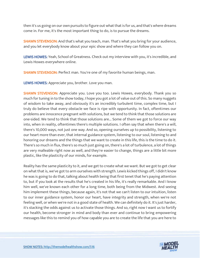then it's us going on our own pursuits to figure out what that is for us, and that's where dreams come in. For me, it's the most important thing to do, is to pursue the dreams.

**SHAWN STEVENSON:** And that's what you teach, man. That's what you bring for your audience, and you let everybody know about your epic show and where they can follow you on.

LEWIS HOWES: Yeah, School of Greatness. Check out my interview with you, it's incredible, and Lewis Howes everywhere online.

**SHAWN STEVENSON: Perfect man. You're one of my favorite human beings, man.** 

LEWIS HOWES: Appreciate you, brother. Love you man.

SHAWN STEVENSON: Appreciate you. Love you too. Lewis Howes, everybody. Thank you so much for tuning in to the show today, I hope you got a lot of value out of this. So many nuggets of wisdom to take away, and obviously it's an incredibly turbulent time, complex time, but I truly do believe that every obstacle we face is ripe with opportunity. In fact, oftentimes our problems are innocence pregnant with solutions, but we tend to think that those solutions are one-sided. We tend to think that those solutions are... Some of them we got to force our way into, when in reality, oftentimes there's multiple solutions. I often say that when there's a will, there's 10,000 ways, not just one way. And so, opening ourselves up to possibility, listening to our heart more than ever, that internal guidance system, listening to our soul, listening to and honoring our dreams and the things that we want to create in this life, this is the time to do it. There's so much in flux, there's so much just going on, there's a lot of turbulence, a lot of things are very malleable right now as well, and they're easier to change, things are a little bit more plastic, like the plasticity of our minds, for example.

Reality has the same plasticity to it, and we get to create what we want. But we got to get clear on what that is, we've got to arm ourselves with strength. Lewis kicked things off, I didn't know he was is going to do that, talking about health being that first tenet that he's paying attention to, but if you look at the results that he's created in his life, it's really remarkable. And I know him well, we've known each other for a long time, both being from the Midwest. And seeing him implement these things, because again, it's not that we can't listen to our intuition, listen to our inner guidance system, honor our heart, have integrity and strength, when we're not feeling well, or when we're not in a good state of health. We can definitely do it. It's just harder, it's stacking the odds against us to activate those things. And so, right now I want us to fortify our health, become stronger in mind and body than ever and continue to bring empowering messages like this to remind you of how capable you are to create the life that you are here to